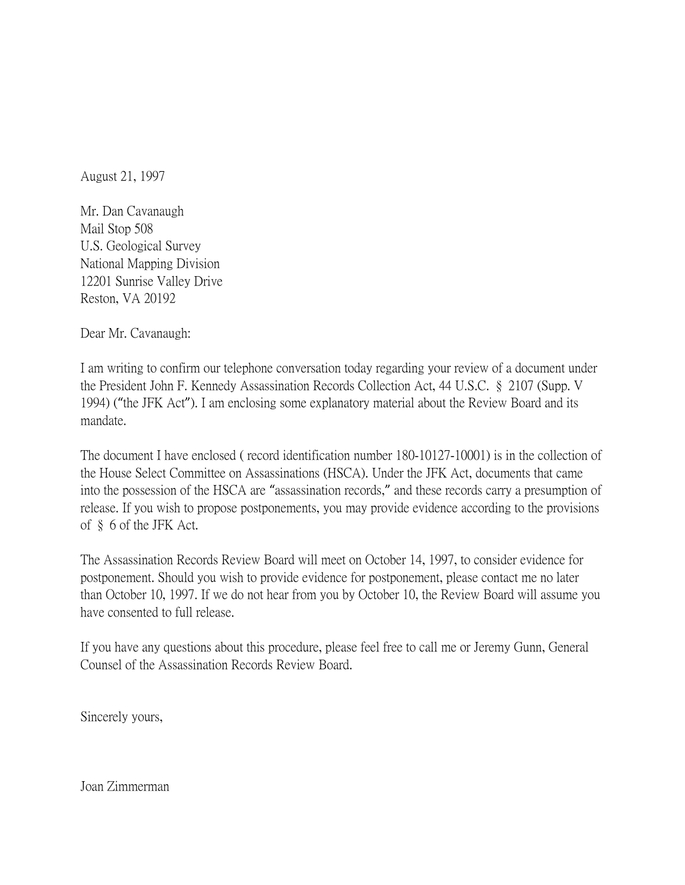August 21, 1997

Mr. Dan Cavanaugh Mail Stop 508 U.S. Geological Survey National Mapping Division 12201 Sunrise Valley Drive Reston, VA 20192

Dear Mr. Cavanaugh:

I am writing to confirm our telephone conversation today regarding your review of a document under the President John F. Kennedy Assassination Records Collection Act, 44 U.S.C. § 2107 (Supp. V 1994) ("the JFK Act"). I am enclosing some explanatory material about the Review Board and its mandate.

The document I have enclosed ( record identification number 180-10127-10001) is in the collection of the House Select Committee on Assassinations (HSCA). Under the JFK Act, documents that came into the possession of the HSCA are "assassination records," and these records carry a presumption of release. If you wish to propose postponements, you may provide evidence according to the provisions of § 6 of the JFK Act.

The Assassination Records Review Board will meet on October 14, 1997, to consider evidence for postponement. Should you wish to provide evidence for postponement, please contact me no later than October 10, 1997. If we do not hear from you by October 10, the Review Board will assume you have consented to full release.

If you have any questions about this procedure, please feel free to call me or Jeremy Gunn, General Counsel of the Assassination Records Review Board.

Sincerely yours,

Joan Zimmerman